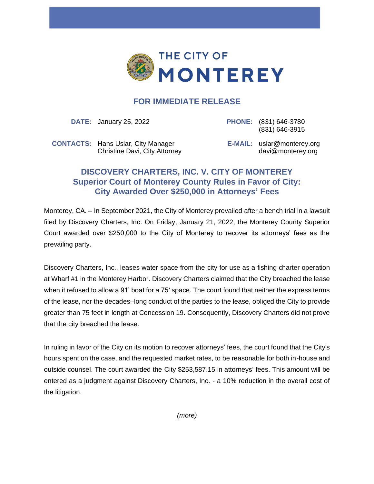

## **FOR IMMEDIATE RELEASE**

**DATE:** January 25, 2022 **PHONE:** (831) 646-3780

(831) 646-3915

**CONTACTS:** Hans Uslar, City Manager Christine Davi, City Attorney **E-MAIL:** uslar@monterey.org davi@monterey.org

## **DISCOVERY CHARTERS, INC. V. CITY OF MONTEREY Superior Court of Monterey County Rules in Favor of City: City Awarded Over \$250,000 in Attorneys' Fees**

Monterey, CA. – In September 2021, the City of Monterey prevailed after a bench trial in a lawsuit filed by Discovery Charters, Inc. On Friday, January 21, 2022, the Monterey County Superior Court awarded over \$250,000 to the City of Monterey to recover its attorneys' fees as the prevailing party.

Discovery Charters, Inc., leases water space from the city for use as a fishing charter operation at Wharf #1 in the Monterey Harbor. Discovery Charters claimed that the City breached the lease when it refused to allow a 91' boat for a 75' space. The court found that neither the express terms of the lease, nor the decades–long conduct of the parties to the lease, obliged the City to provide greater than 75 feet in length at Concession 19. Consequently, Discovery Charters did not prove that the city breached the lease.

In ruling in favor of the City on its motion to recover attorneys' fees, the court found that the City's hours spent on the case, and the requested market rates, to be reasonable for both in-house and outside counsel. The court awarded the City \$253,587.15 in attorneys' fees. This amount will be entered as a judgment against Discovery Charters, Inc. - a 10% reduction in the overall cost of the litigation.

*(more)*